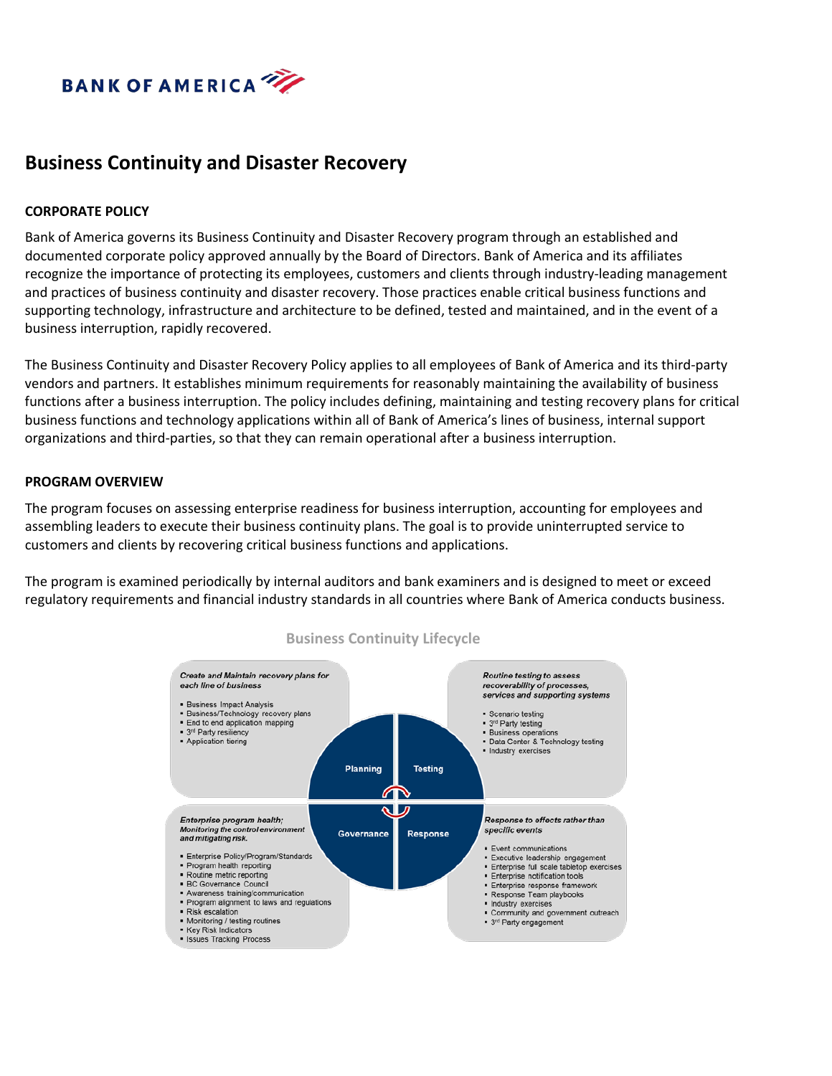

# **Business Continuity and Disaster Recovery**

## **CORPORATE POLICY**

Bank of America governs its Business Continuity and Disaster Recovery program through an established and documented corporate policy approved annually by the Board of Directors. Bank of America and its affiliates recognize the importance of protecting its employees, customers and clients through industry-leading management and practices of business continuity and disaster recovery. Those practices enable critical business functions and supporting technology, infrastructure and architecture to be defined, tested and maintained, and in the event of a business interruption, rapidly recovered.

The Business Continuity and Disaster Recovery Policy applies to all employees of Bank of America and its third-party vendors and partners. It establishes minimum requirements for reasonably maintaining the availability of business functions after a business interruption. The policy includes defining, maintaining and testing recovery plans for critical business functions and technology applications within all of Bank of America's lines of business, internal support organizations and third-parties, so that they can remain operational after a business interruption.

## **PROGRAM OVERVIEW**

The program focuses on assessing enterprise readiness for business interruption, accounting for employees and assembling leaders to execute their business continuity plans. The goal is to provide uninterrupted service to customers and clients by recovering critical business functions and applications.

The program is examined periodically by internal auditors and bank examiners and is designed to meet or exceed regulatory requirements and financial industry standards in all countries where Bank of America conducts business.



## **Business Continuity Lifecycle**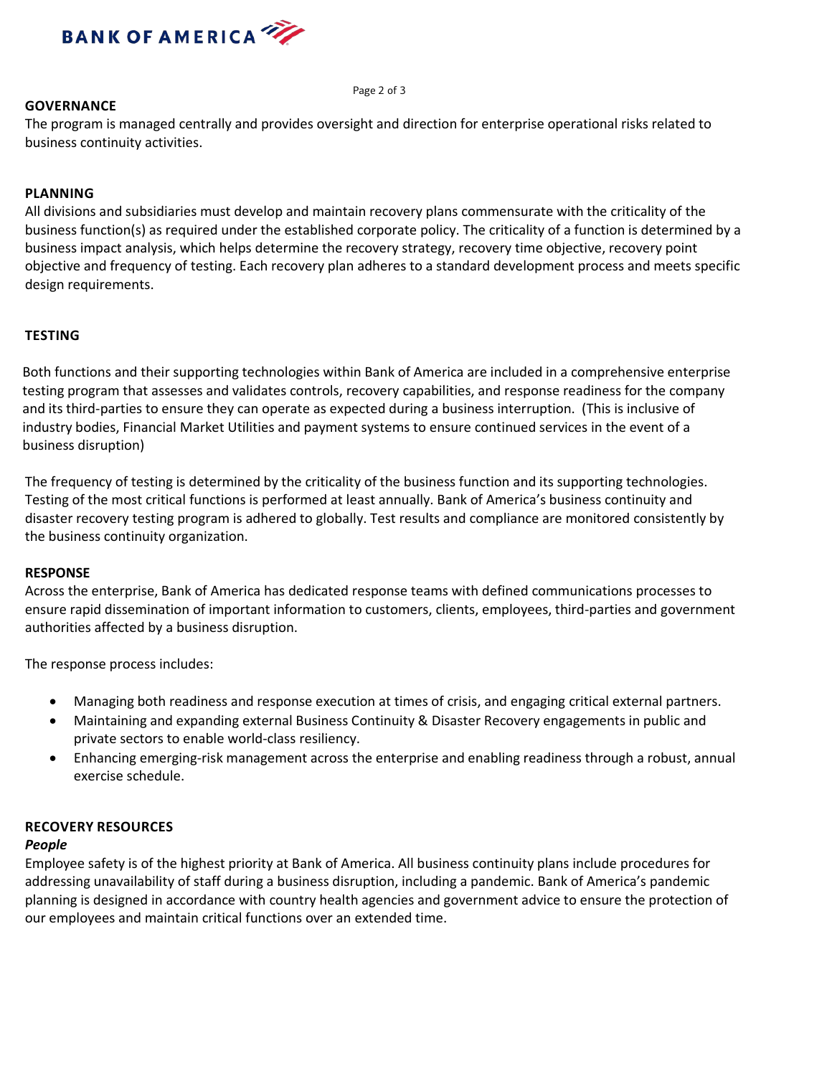

Page 2 of 3

## **GOVERNANCE**

The program is managed centrally and provides oversight and direction for enterprise operational risks related to business continuity activities.

# **PLANNING**

All divisions and subsidiaries must develop and maintain recovery plans commensurate with the criticality of the business function(s) as required under the established corporate policy. The criticality of a function is determined by a business impact analysis, which helps determine the recovery strategy, recovery time objective, recovery point objective and frequency of testing. Each recovery plan adheres to a standard development process and meets specific design requirements.

# **TESTING**

Both functions and their supporting technologies within Bank of America are included in a comprehensive enterprise testing program that assesses and validates controls, recovery capabilities, and response readiness for the company and its third-parties to ensure they can operate as expected during a business interruption. (This is inclusive of industry bodies, Financial Market Utilities and payment systems to ensure continued services in the event of a business disruption)

The frequency of testing is determined by the criticality of the business function and its supporting technologies. Testing of the most critical functions is performed at least annually. Bank of America's business continuity and disaster recovery testing program is adhered to globally. Test results and compliance are monitored consistently by the business continuity organization.

## **RESPONSE**

Across the enterprise, Bank of America has dedicated response teams with defined communications processes to ensure rapid dissemination of important information to customers, clients, employees, third-parties and government authorities affected by a business disruption.

The response process includes:

- Managing both readiness and response execution at times of crisis, and engaging critical external partners.
- Maintaining and expanding external Business Continuity & Disaster Recovery engagements in public and private sectors to enable world-class resiliency.
- Enhancing emerging-risk management across the enterprise and enabling readiness through a robust, annual exercise schedule.

## **RECOVERY RESOURCES**

## *People*

Employee safety is of the highest priority at Bank of America. All business continuity plans include procedures for addressing unavailability of staff during a business disruption, including a pandemic. Bank of America's pandemic planning is designed in accordance with country health agencies and government advice to ensure the protection of our employees and maintain critical functions over an extended time.